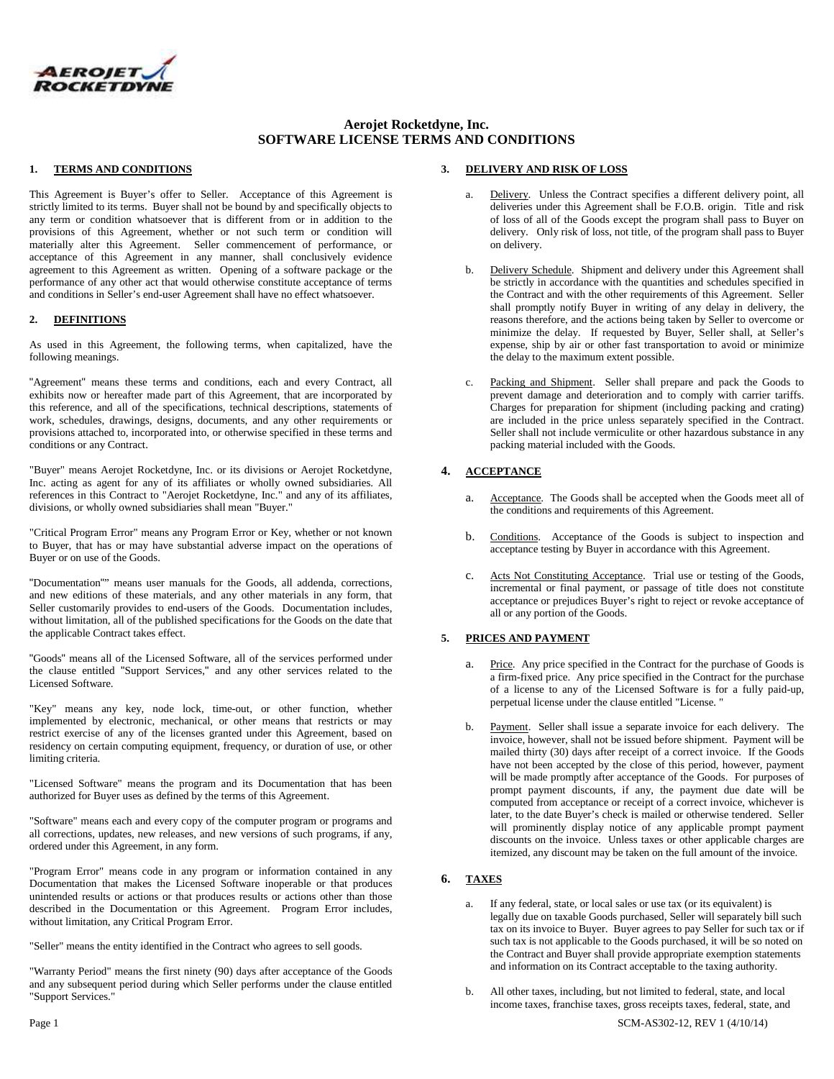

# **Aerojet Rocketdyne, Inc. SOFTWARE LICENSE TERMS AND CONDITIONS**

#### **1. TERMS AND CONDITIONS**

This Agreement is Buyer's offer to Seller. Acceptance of this Agreement is strictly limited to its terms. Buyer shall not be bound by and specifically objects to any term or condition whatsoever that is different from or in addition to the provisions of this Agreement, whether or not such term or condition will materially alter this Agreement. Seller commencement of performance, or acceptance of this Agreement in any manner, shall conclusively evidence agreement to this Agreement as written. Opening of a software package or the performance of any other act that would otherwise constitute acceptance of terms and conditions in Seller's end-user Agreement shall have no effect whatsoever.

#### **2. DEFINITIONS**

As used in this Agreement, the following terms, when capitalized, have the following meanings.

"Agreement" means these terms and conditions, each and every Contract, all exhibits now or hereafter made part of this Agreement, that are incorporated by this reference, and all of the specifications, technical descriptions, statements of work, schedules, drawings, designs, documents, and any other requirements or provisions attached to, incorporated into, or otherwise specified in these terms and conditions or any Contract.

"Buyer" means Aerojet Rocketdyne, Inc. or its divisions or Aerojet Rocketdyne, Inc. acting as agent for any of its affiliates or wholly owned subsidiaries. All references in this Contract to "Aerojet Rocketdyne, Inc." and any of its affiliates, divisions, or wholly owned subsidiaries shall mean "Buyer."

"Critical Program Error" means any Program Error or Key, whether or not known to Buyer, that has or may have substantial adverse impact on the operations of Buyer or on use of the Goods.

"Documentation"" means user manuals for the Goods, all addenda, corrections, and new editions of these materials, and any other materials in any form, that Seller customarily provides to end-users of the Goods. Documentation includes, without limitation, all of the published specifications for the Goods on the date that the applicable Contract takes effect.

"Goods" means all of the Licensed Software, all of the services performed under the clause entitled "Support Services," and any other services related to the Licensed Software.

"Key" means any key, node lock, time-out, or other function, whether implemented by electronic, mechanical, or other means that restricts or may restrict exercise of any of the licenses granted under this Agreement, based on residency on certain computing equipment, frequency, or duration of use, or other limiting criteria.

"Licensed Software" means the program and its Documentation that has been authorized for Buyer uses as defined by the terms of this Agreement.

"Software" means each and every copy of the computer program or programs and all corrections, updates, new releases, and new versions of such programs, if any, ordered under this Agreement, in any form.

"Program Error" means code in any program or information contained in any Documentation that makes the Licensed Software inoperable or that produces unintended results or actions or that produces results or actions other than those described in the Documentation or this Agreement. Program Error includes, without limitation, any Critical Program Error.

"Seller" means the entity identified in the Contract who agrees to sell goods.

"Warranty Period" means the first ninety (90) days after acceptance of the Goods and any subsequent period during which Seller performs under the clause entitled "Support Services."

#### **3. DELIVERY AND RISK OF LOSS**

- Delivery. Unless the Contract specifies a different delivery point, all deliveries under this Agreement shall be F.O.B. origin. Title and risk of loss of all of the Goods except the program shall pass to Buyer on delivery. Only risk of loss, not title, of the program shall pass to Buyer on delivery.
- b. Delivery Schedule. Shipment and delivery under this Agreement shall be strictly in accordance with the quantities and schedules specified in the Contract and with the other requirements of this Agreement. Seller shall promptly notify Buyer in writing of any delay in delivery, the reasons therefore, and the actions being taken by Seller to overcome or minimize the delay. If requested by Buyer, Seller shall, at Seller's expense, ship by air or other fast transportation to avoid or minimize the delay to the maximum extent possible.
- c. Packing and Shipment. Seller shall prepare and pack the Goods to prevent damage and deterioration and to comply with carrier tariffs. Charges for preparation for shipment (including packing and crating) are included in the price unless separately specified in the Contract. Seller shall not include vermiculite or other hazardous substance in any packing material included with the Goods.

# **4. ACCEPTANCE**

- a. Acceptance. The Goods shall be accepted when the Goods meet all of the conditions and requirements of this Agreement.
- b. Conditions. Acceptance of the Goods is subject to inspection and acceptance testing by Buyer in accordance with this Agreement.
- c. Acts Not Constituting Acceptance. Trial use or testing of the Goods, incremental or final payment, or passage of title does not constitute acceptance or prejudices Buyer's right to reject or revoke acceptance of all or any portion of the Goods.

## **5. PRICES AND PAYMENT**

- a. Price. Any price specified in the Contract for the purchase of Goods is a firm-fixed price. Any price specified in the Contract for the purchase of a license to any of the Licensed Software is for a fully paid-up, perpetual license under the clause entitled "License. "
- b. Payment. Seller shall issue a separate invoice for each delivery. The invoice, however, shall not be issued before shipment. Payment will be mailed thirty (30) days after receipt of a correct invoice. If the Goods have not been accepted by the close of this period, however, payment will be made promptly after acceptance of the Goods. For purposes of prompt payment discounts, if any, the payment due date will be computed from acceptance or receipt of a correct invoice, whichever is later, to the date Buyer's check is mailed or otherwise tendered. Seller will prominently display notice of any applicable prompt payment discounts on the invoice. Unless taxes or other applicable charges are itemized, any discount may be taken on the full amount of the invoice.

## **6. TAXES**

- a. If any federal, state, or local sales or use tax (or its equivalent) is legally due on taxable Goods purchased, Seller will separately bill such tax on its invoice to Buyer. Buyer agrees to pay Seller for such tax or if such tax is not applicable to the Goods purchased, it will be so noted on the Contract and Buyer shall provide appropriate exemption statements and information on its Contract acceptable to the taxing authority.
- b. All other taxes, including, but not limited to federal, state, and local income taxes, franchise taxes, gross receipts taxes, federal, state, and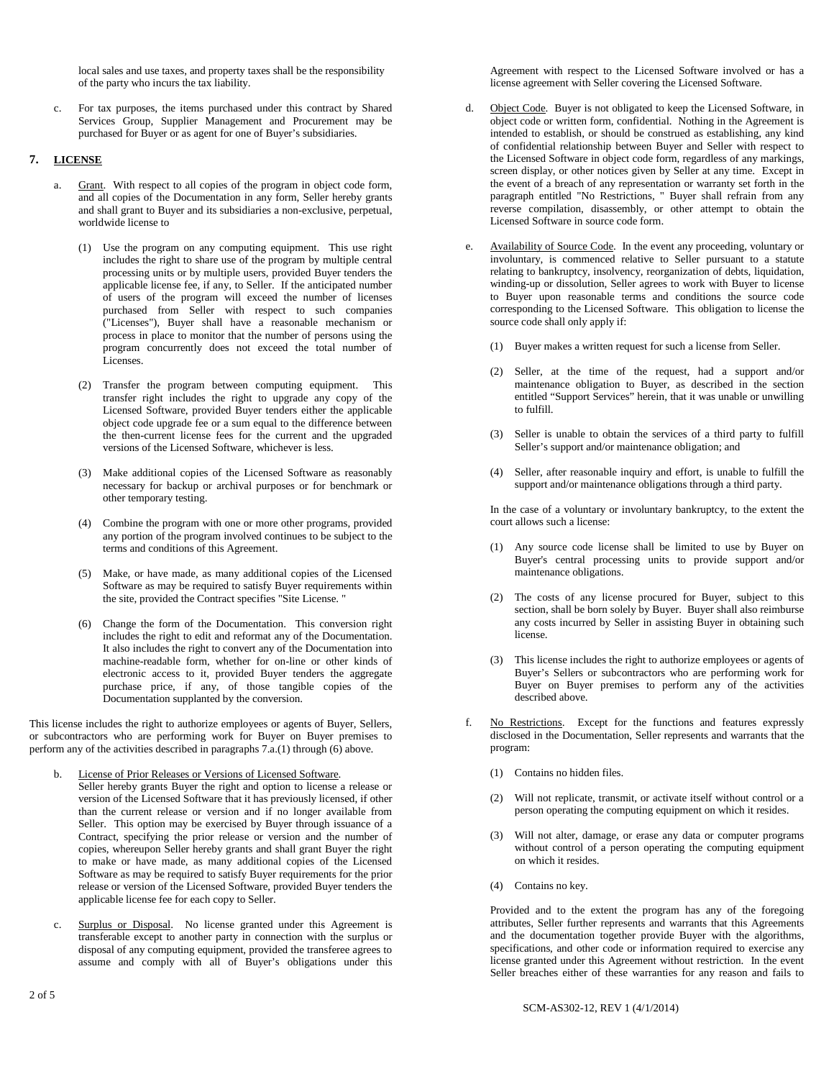local sales and use taxes, and property taxes shall be the responsibility of the party who incurs the tax liability.

c. For tax purposes, the items purchased under this contract by Shared Services Group, Supplier Management and Procurement may be purchased for Buyer or as agent for one of Buyer's subsidiaries.

## **7. LICENSE**

- a. Grant. With respect to all copies of the program in object code form, and all copies of the Documentation in any form, Seller hereby grants and shall grant to Buyer and its subsidiaries a non-exclusive, perpetual, worldwide license to
	- (1) Use the program on any computing equipment. This use right includes the right to share use of the program by multiple central processing units or by multiple users, provided Buyer tenders the applicable license fee, if any, to Seller. If the anticipated number of users of the program will exceed the number of licenses purchased from Seller with respect to such companies ("Licenses"), Buyer shall have a reasonable mechanism or process in place to monitor that the number of persons using the program concurrently does not exceed the total number of Licenses.
	- (2) Transfer the program between computing equipment. This transfer right includes the right to upgrade any copy of the Licensed Software, provided Buyer tenders either the applicable object code upgrade fee or a sum equal to the difference between the then-current license fees for the current and the upgraded versions of the Licensed Software, whichever is less.
	- (3) Make additional copies of the Licensed Software as reasonably necessary for backup or archival purposes or for benchmark or other temporary testing.
	- (4) Combine the program with one or more other programs, provided any portion of the program involved continues to be subject to the terms and conditions of this Agreement.
	- (5) Make, or have made, as many additional copies of the Licensed Software as may be required to satisfy Buyer requirements within the site, provided the Contract specifies "Site License. "
	- (6) Change the form of the Documentation. This conversion right includes the right to edit and reformat any of the Documentation. It also includes the right to convert any of the Documentation into machine-readable form, whether for on-line or other kinds of electronic access to it, provided Buyer tenders the aggregate purchase price, if any, of those tangible copies of the Documentation supplanted by the conversion.

This license includes the right to authorize employees or agents of Buyer, Sellers, or subcontractors who are performing work for Buyer on Buyer premises to perform any of the activities described in paragraphs 7.a.(1) through (6) above.

- License of Prior Releases or Versions of Licensed Software.
- Seller hereby grants Buyer the right and option to license a release or version of the Licensed Software that it has previously licensed, if other than the current release or version and if no longer available from Seller. This option may be exercised by Buyer through issuance of a Contract, specifying the prior release or version and the number of copies, whereupon Seller hereby grants and shall grant Buyer the right to make or have made, as many additional copies of the Licensed Software as may be required to satisfy Buyer requirements for the prior release or version of the Licensed Software, provided Buyer tenders the applicable license fee for each copy to Seller.
- c. Surplus or Disposal. No license granted under this Agreement is transferable except to another party in connection with the surplus or disposal of any computing equipment, provided the transferee agrees to assume and comply with all of Buyer's obligations under this

Agreement with respect to the Licensed Software involved or has a license agreement with Seller covering the Licensed Software.

- d. Object Code. Buyer is not obligated to keep the Licensed Software, in object code or written form, confidential. Nothing in the Agreement is intended to establish, or should be construed as establishing, any kind of confidential relationship between Buyer and Seller with respect to the Licensed Software in object code form, regardless of any markings, screen display, or other notices given by Seller at any time. Except in the event of a breach of any representation or warranty set forth in the paragraph entitled "No Restrictions, " Buyer shall refrain from any reverse compilation, disassembly, or other attempt to obtain the Licensed Software in source code form.
- e. Availability of Source Code. In the event any proceeding, voluntary or involuntary, is commenced relative to Seller pursuant to a statute relating to bankruptcy, insolvency, reorganization of debts, liquidation, winding-up or dissolution, Seller agrees to work with Buyer to license to Buyer upon reasonable terms and conditions the source code corresponding to the Licensed Software. This obligation to license the source code shall only apply if:
	- (1) Buyer makes a written request for such a license from Seller.
	- (2) Seller, at the time of the request, had a support and/or maintenance obligation to Buyer, as described in the section entitled "Support Services" herein, that it was unable or unwilling to fulfill.
	- (3) Seller is unable to obtain the services of a third party to fulfill Seller's support and/or maintenance obligation; and
	- (4) Seller, after reasonable inquiry and effort, is unable to fulfill the support and/or maintenance obligations through a third party.

In the case of a voluntary or involuntary bankruptcy, to the extent the court allows such a license:

- (1) Any source code license shall be limited to use by Buyer on Buyer's central processing units to provide support and/or maintenance obligations.
- (2) The costs of any license procured for Buyer, subject to this section, shall be born solely by Buyer. Buyer shall also reimburse any costs incurred by Seller in assisting Buyer in obtaining such license.
- (3) This license includes the right to authorize employees or agents of Buyer's Sellers or subcontractors who are performing work for Buyer on Buyer premises to perform any of the activities described above.
- No Restrictions. Except for the functions and features expressly disclosed in the Documentation, Seller represents and warrants that the program:
	- (1) Contains no hidden files.
	- (2) Will not replicate, transmit, or activate itself without control or a person operating the computing equipment on which it resides.
	- (3) Will not alter, damage, or erase any data or computer programs without control of a person operating the computing equipment on which it resides.
	- (4) Contains no key.

Provided and to the extent the program has any of the foregoing attributes, Seller further represents and warrants that this Agreements and the documentation together provide Buyer with the algorithms, specifications, and other code or information required to exercise any license granted under this Agreement without restriction. In the event Seller breaches either of these warranties for any reason and fails to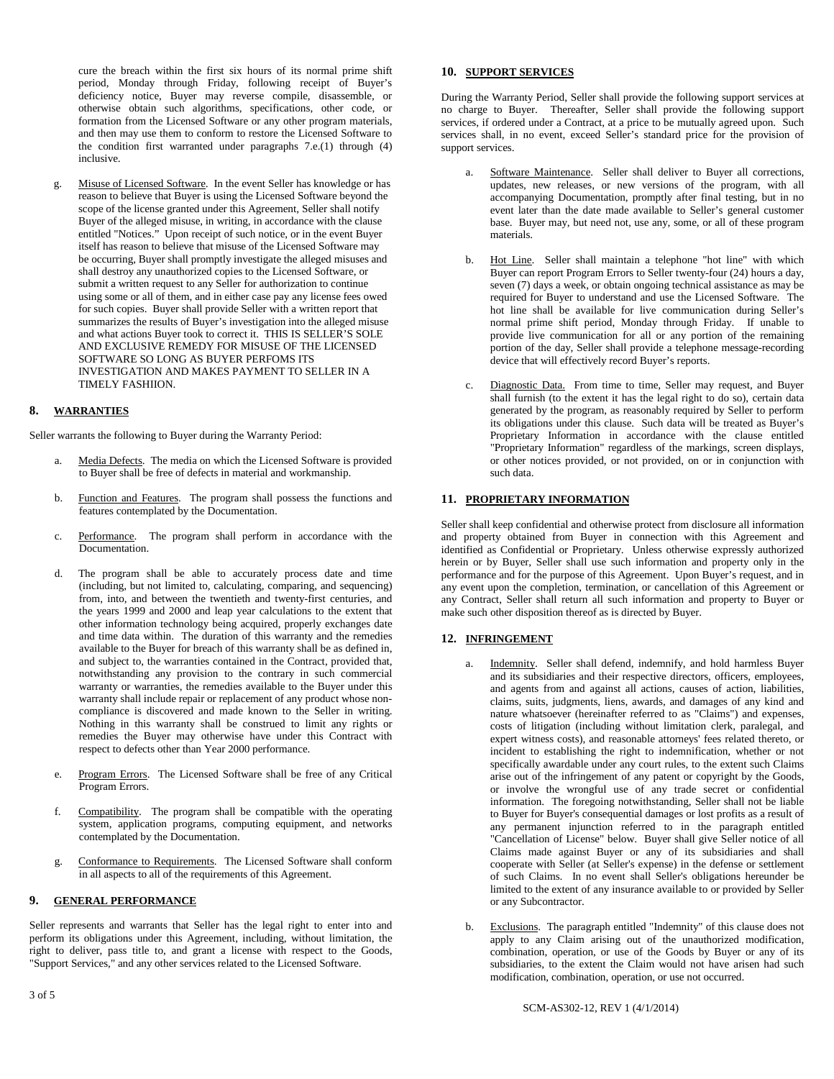cure the breach within the first six hours of its normal prime shift period, Monday through Friday, following receipt of Buyer's deficiency notice, Buyer may reverse compile, disassemble, or otherwise obtain such algorithms, specifications, other code, or formation from the Licensed Software or any other program materials, and then may use them to conform to restore the Licensed Software to the condition first warranted under paragraphs 7.e.(1) through (4) inclusive.

g. Misuse of Licensed Software. In the event Seller has knowledge or has reason to believe that Buyer is using the Licensed Software beyond the scope of the license granted under this Agreement, Seller shall notify Buyer of the alleged misuse, in writing, in accordance with the clause entitled "Notices." Upon receipt of such notice, or in the event Buyer itself has reason to believe that misuse of the Licensed Software may be occurring, Buyer shall promptly investigate the alleged misuses and shall destroy any unauthorized copies to the Licensed Software, or submit a written request to any Seller for authorization to continue using some or all of them, and in either case pay any license fees owed for such copies. Buyer shall provide Seller with a written report that summarizes the results of Buyer's investigation into the alleged misuse and what actions Buyer took to correct it. THIS IS SELLER'S SOLE AND EXCLUSIVE REMEDY FOR MISUSE OF THE LICENSED SOFTWARE SO LONG AS BUYER PERFOMS ITS INVESTIGATION AND MAKES PAYMENT TO SELLER IN A TIMELY FASHIION.

## **8. WARRANTIES**

Seller warrants the following to Buyer during the Warranty Period:

- a. Media Defects. The media on which the Licensed Software is provided to Buyer shall be free of defects in material and workmanship.
- b. Function and Features. The program shall possess the functions and features contemplated by the Documentation.
- c. Performance. The program shall perform in accordance with the Documentation.
- d. The program shall be able to accurately process date and time (including, but not limited to, calculating, comparing, and sequencing) from, into, and between the twentieth and twenty-first centuries, and the years 1999 and 2000 and leap year calculations to the extent that other information technology being acquired, properly exchanges date and time data within. The duration of this warranty and the remedies available to the Buyer for breach of this warranty shall be as defined in, and subject to, the warranties contained in the Contract, provided that, notwithstanding any provision to the contrary in such commercial warranty or warranties, the remedies available to the Buyer under this warranty shall include repair or replacement of any product whose noncompliance is discovered and made known to the Seller in writing. Nothing in this warranty shall be construed to limit any rights or remedies the Buyer may otherwise have under this Contract with respect to defects other than Year 2000 performance.
- e. Program Errors. The Licensed Software shall be free of any Critical Program Errors.
- f. Compatibility. The program shall be compatible with the operating system, application programs, computing equipment, and networks contemplated by the Documentation.
- g. Conformance to Requirements. The Licensed Software shall conform in all aspects to all of the requirements of this Agreement.

## **9. GENERAL PERFORMANCE**

Seller represents and warrants that Seller has the legal right to enter into and perform its obligations under this Agreement, including, without limitation, the right to deliver, pass title to, and grant a license with respect to the Goods, "Support Services," and any other services related to the Licensed Software.

### **10. SUPPORT SERVICES**

During the Warranty Period, Seller shall provide the following support services at no charge to Buyer. Thereafter, Seller shall provide the following support services, if ordered under a Contract, at a price to be mutually agreed upon. Such services shall, in no event, exceed Seller's standard price for the provision of support services.

- a. Software Maintenance. Seller shall deliver to Buyer all corrections, updates, new releases, or new versions of the program, with all accompanying Documentation, promptly after final testing, but in no event later than the date made available to Seller's general customer base. Buyer may, but need not, use any, some, or all of these program materials.
- b. Hot Line. Seller shall maintain a telephone "hot line" with which Buyer can report Program Errors to Seller twenty-four (24) hours a day, seven (7) days a week, or obtain ongoing technical assistance as may be required for Buyer to understand and use the Licensed Software. The hot line shall be available for live communication during Seller's normal prime shift period, Monday through Friday. If unable to provide live communication for all or any portion of the remaining portion of the day, Seller shall provide a telephone message-recording device that will effectively record Buyer's reports.
- c. Diagnostic Data. From time to time, Seller may request, and Buyer shall furnish (to the extent it has the legal right to do so), certain data generated by the program, as reasonably required by Seller to perform its obligations under this clause. Such data will be treated as Buyer's Proprietary Information in accordance with the clause entitled "Proprietary Information" regardless of the markings, screen displays, or other notices provided, or not provided, on or in conjunction with such data.

#### **11. PROPRIETARY INFORMATION**

Seller shall keep confidential and otherwise protect from disclosure all information and property obtained from Buyer in connection with this Agreement and identified as Confidential or Proprietary. Unless otherwise expressly authorized herein or by Buyer, Seller shall use such information and property only in the performance and for the purpose of this Agreement. Upon Buyer's request, and in any event upon the completion, termination, or cancellation of this Agreement or any Contract, Seller shall return all such information and property to Buyer or make such other disposition thereof as is directed by Buyer.

#### **12. INFRINGEMENT**

- Indemnity. Seller shall defend, indemnify, and hold harmless Buyer and its subsidiaries and their respective directors, officers, employees, and agents from and against all actions, causes of action, liabilities, claims, suits, judgments, liens, awards, and damages of any kind and nature whatsoever (hereinafter referred to as "Claims") and expenses, costs of litigation (including without limitation clerk, paralegal, and expert witness costs), and reasonable attorneys' fees related thereto, or incident to establishing the right to indemnification, whether or not specifically awardable under any court rules, to the extent such Claims arise out of the infringement of any patent or copyright by the Goods, or involve the wrongful use of any trade secret or confidential information. The foregoing notwithstanding, Seller shall not be liable to Buyer for Buyer's consequential damages or lost profits as a result of any permanent injunction referred to in the paragraph entitled "Cancellation of License" below. Buyer shall give Seller notice of all Claims made against Buyer or any of its subsidiaries and shall cooperate with Seller (at Seller's expense) in the defense or settlement of such Claims. In no event shall Seller's obligations hereunder be limited to the extent of any insurance available to or provided by Seller or any Subcontractor.
- b. Exclusions. The paragraph entitled "Indemnity" of this clause does not apply to any Claim arising out of the unauthorized modification, combination, operation, or use of the Goods by Buyer or any of its subsidiaries, to the extent the Claim would not have arisen had such modification, combination, operation, or use not occurred.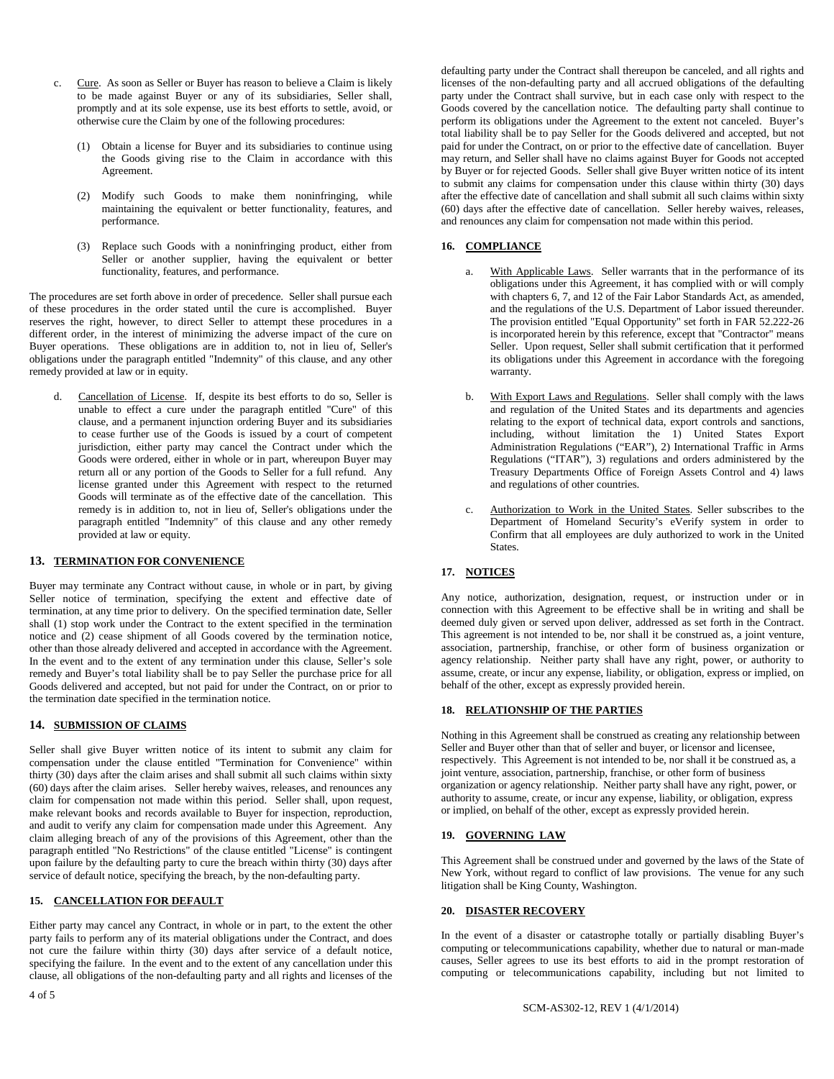- c. Cure. As soon as Seller or Buyer has reason to believe a Claim is likely to be made against Buyer or any of its subsidiaries, Seller shall, promptly and at its sole expense, use its best efforts to settle, avoid, or otherwise cure the Claim by one of the following procedures:
	- (1) Obtain a license for Buyer and its subsidiaries to continue using the Goods giving rise to the Claim in accordance with this Agreement.
	- (2) Modify such Goods to make them noninfringing, while maintaining the equivalent or better functionality, features, and performance.
	- (3) Replace such Goods with a noninfringing product, either from Seller or another supplier, having the equivalent or better functionality, features, and performance.

The procedures are set forth above in order of precedence. Seller shall pursue each of these procedures in the order stated until the cure is accomplished. Buyer reserves the right, however, to direct Seller to attempt these procedures in a different order, in the interest of minimizing the adverse impact of the cure on Buyer operations. These obligations are in addition to, not in lieu of, Seller's obligations under the paragraph entitled "Indemnity" of this clause, and any other remedy provided at law or in equity.

Cancellation of License. If, despite its best efforts to do so, Seller is unable to effect a cure under the paragraph entitled "Cure" of this clause, and a permanent injunction ordering Buyer and its subsidiaries to cease further use of the Goods is issued by a court of competent jurisdiction, either party may cancel the Contract under which the Goods were ordered, either in whole or in part, whereupon Buyer may return all or any portion of the Goods to Seller for a full refund. Any license granted under this Agreement with respect to the returned Goods will terminate as of the effective date of the cancellation. This remedy is in addition to, not in lieu of, Seller's obligations under the paragraph entitled "Indemnity" of this clause and any other remedy provided at law or equity.

## **13. TERMINATION FOR CONVENIENCE**

Buyer may terminate any Contract without cause, in whole or in part, by giving Seller notice of termination, specifying the extent and effective date of termination, at any time prior to delivery. On the specified termination date, Seller shall (1) stop work under the Contract to the extent specified in the termination notice and (2) cease shipment of all Goods covered by the termination notice, other than those already delivered and accepted in accordance with the Agreement. In the event and to the extent of any termination under this clause, Seller's sole remedy and Buyer's total liability shall be to pay Seller the purchase price for all Goods delivered and accepted, but not paid for under the Contract, on or prior to the termination date specified in the termination notice.

#### **14. SUBMISSION OF CLAIMS**

Seller shall give Buyer written notice of its intent to submit any claim for compensation under the clause entitled "Termination for Convenience" within thirty (30) days after the claim arises and shall submit all such claims within sixty (60) days after the claim arises. Seller hereby waives, releases, and renounces any claim for compensation not made within this period. Seller shall, upon request, make relevant books and records available to Buyer for inspection, reproduction, and audit to verify any claim for compensation made under this Agreement. Any claim alleging breach of any of the provisions of this Agreement, other than the paragraph entitled "No Restrictions" of the clause entitled "License" is contingent upon failure by the defaulting party to cure the breach within thirty (30) days after service of default notice, specifying the breach, by the non-defaulting party.

## **15. CANCELLATION FOR DEFAULT**

Either party may cancel any Contract, in whole or in part, to the extent the other party fails to perform any of its material obligations under the Contract, and does not cure the failure within thirty (30) days after service of a default notice, specifying the failure. In the event and to the extent of any cancellation under this clause, all obligations of the non-defaulting party and all rights and licenses of the

defaulting party under the Contract shall thereupon be canceled, and all rights and licenses of the non-defaulting party and all accrued obligations of the defaulting party under the Contract shall survive, but in each case only with respect to the Goods covered by the cancellation notice. The defaulting party shall continue to perform its obligations under the Agreement to the extent not canceled. Buyer's total liability shall be to pay Seller for the Goods delivered and accepted, but not paid for under the Contract, on or prior to the effective date of cancellation. Buyer may return, and Seller shall have no claims against Buyer for Goods not accepted by Buyer or for rejected Goods. Seller shall give Buyer written notice of its intent to submit any claims for compensation under this clause within thirty (30) days after the effective date of cancellation and shall submit all such claims within sixty (60) days after the effective date of cancellation. Seller hereby waives, releases, and renounces any claim for compensation not made within this period.

#### **16. COMPLIANCE**

- a. With Applicable Laws. Seller warrants that in the performance of its obligations under this Agreement, it has complied with or will comply with chapters 6, 7, and 12 of the Fair Labor Standards Act, as amended, and the regulations of the U.S. Department of Labor issued thereunder. The provision entitled "Equal Opportunity" set forth in FAR 52.222-26 is incorporated herein by this reference, except that "Contractor" means Seller. Upon request, Seller shall submit certification that it performed its obligations under this Agreement in accordance with the foregoing warranty.
- b. With Export Laws and Regulations. Seller shall comply with the laws and regulation of the United States and its departments and agencies relating to the export of technical data, export controls and sanctions, including, without limitation the 1) United States Export Administration Regulations ("EAR"), 2) International Traffic in Arms Regulations ("ITAR"), 3) regulations and orders administered by the Treasury Departments Office of Foreign Assets Control and 4) laws and regulations of other countries.
- c. Authorization to Work in the United States. Seller subscribes to the Department of Homeland Security's eVerify system in order to Confirm that all employees are duly authorized to work in the United States.

## **17. NOTICES**

Any notice, authorization, designation, request, or instruction under or in connection with this Agreement to be effective shall be in writing and shall be deemed duly given or served upon deliver, addressed as set forth in the Contract. This agreement is not intended to be, nor shall it be construed as, a joint venture, association, partnership, franchise, or other form of business organization or agency relationship. Neither party shall have any right, power, or authority to assume, create, or incur any expense, liability, or obligation, express or implied, on behalf of the other, except as expressly provided herein.

### **18. RELATIONSHIP OF THE PARTIES**

Nothing in this Agreement shall be construed as creating any relationship between Seller and Buyer other than that of seller and buyer, or licensor and licensee, respectively. This Agreement is not intended to be, nor shall it be construed as, a joint venture, association, partnership, franchise, or other form of business organization or agency relationship. Neither party shall have any right, power, or authority to assume, create, or incur any expense, liability, or obligation, express or implied, on behalf of the other, except as expressly provided herein.

#### **19. GOVERNING LAW**

This Agreement shall be construed under and governed by the laws of the State of New York, without regard to conflict of law provisions. The venue for any such litigation shall be King County, Washington.

#### **20. DISASTER RECOVERY**

In the event of a disaster or catastrophe totally or partially disabling Buyer's computing or telecommunications capability, whether due to natural or man-made causes, Seller agrees to use its best efforts to aid in the prompt restoration of computing or telecommunications capability, including but not limited to